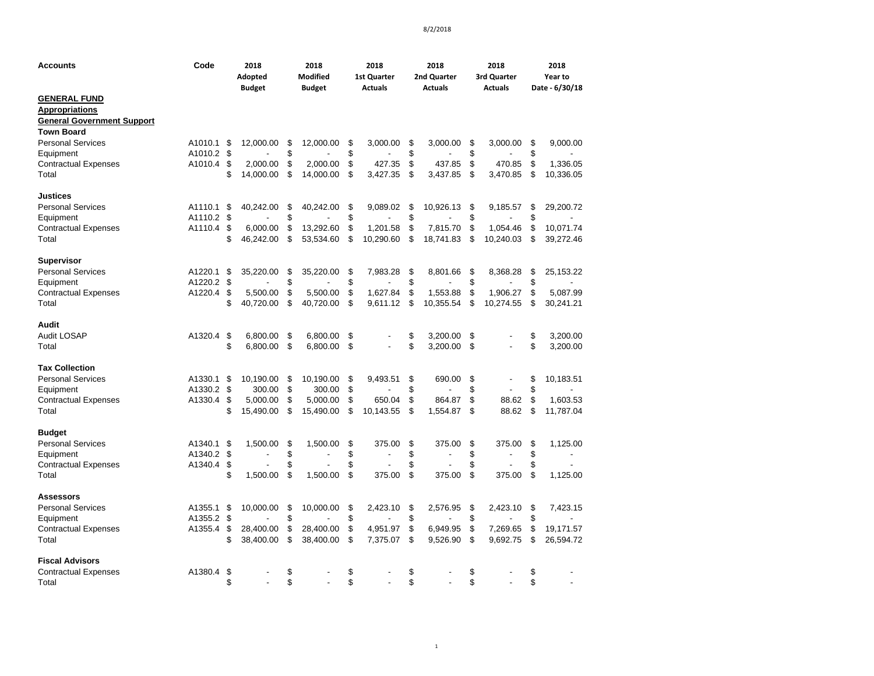| <b>Accounts</b>                                                                                        | Code               | 2018<br>Adopted<br><b>Budget</b> |                        | 2018<br><b>Modified</b><br><b>Budget</b> |                        | 2018<br><b>1st Quarter</b><br><b>Actuals</b> |                      | 2018<br>2nd Quarter<br><b>Actuals</b> |                       |          | 2018<br>3rd Quarter<br><b>Actuals</b> |          | 2018<br>Year to<br>Date - 6/30/18 |
|--------------------------------------------------------------------------------------------------------|--------------------|----------------------------------|------------------------|------------------------------------------|------------------------|----------------------------------------------|----------------------|---------------------------------------|-----------------------|----------|---------------------------------------|----------|-----------------------------------|
| <b>GENERAL FUND</b><br><b>Appropriations</b><br><b>General Government Support</b><br><b>Town Board</b> |                    |                                  |                        |                                          |                        |                                              |                      |                                       |                       |          |                                       |          |                                   |
| <b>Personal Services</b>                                                                               | A1010.1            | - \$                             | 12,000.00              | \$                                       | 12,000.00              | \$                                           | 3,000.00             | \$                                    | 3,000.00              | \$       | 3,000.00                              | \$       | 9,000.00                          |
| Equipment                                                                                              | A1010.2            | \$                               |                        | \$                                       |                        | \$                                           |                      | \$                                    |                       | \$       |                                       | \$       |                                   |
| <b>Contractual Expenses</b><br>Total                                                                   | A1010.4            | \$<br>\$                         | 2,000.00<br>14,000.00  | \$<br>\$                                 | 2,000.00<br>14,000.00  | \$<br>\$                                     | 427.35<br>3,427.35   | \$<br>\$                              | 437.85<br>3,437.85    | \$<br>\$ | 470.85<br>3,470.85                    | \$<br>\$ | 1,336.05<br>10,336.05             |
| <b>Justices</b>                                                                                        |                    |                                  |                        |                                          |                        |                                              |                      |                                       |                       |          |                                       |          |                                   |
| <b>Personal Services</b>                                                                               | A1110.1            | \$                               | 40,242.00              | \$                                       | 40,242.00              | \$                                           | 9.089.02             | \$                                    | 10,926.13             | \$       | 9,185.57                              | \$       | 29,200.72                         |
| Equipment                                                                                              | A1110.2            | \$                               |                        | \$                                       |                        | \$                                           |                      | \$                                    |                       | \$       |                                       | \$       |                                   |
| <b>Contractual Expenses</b>                                                                            | A1110.4            | \$                               | 6,000.00               | \$                                       | 13,292.60              | \$                                           | 1.201.58             | \$                                    | 7,815.70              | \$       | 1,054.46                              | \$       | 10,071.74                         |
| Total                                                                                                  |                    | \$                               | 46,242.00              | \$                                       | 53,534.60              | \$                                           | 10,290.60            | \$                                    | 18,741.83             | \$       | 10,240.03                             | \$       | 39,272.46                         |
| <b>Supervisor</b>                                                                                      |                    |                                  |                        |                                          |                        |                                              |                      |                                       |                       |          |                                       |          |                                   |
| <b>Personal Services</b>                                                                               | A1220.1            | \$                               | 35,220.00              | \$                                       | 35,220.00              | \$                                           | 7,983.28             | \$                                    | 8,801.66              | \$       | 8,368.28                              | \$       | 25,153.22                         |
| Equipment                                                                                              | A1220.2            | \$                               |                        | \$                                       |                        | \$                                           |                      | \$                                    |                       | \$       |                                       | \$       |                                   |
| <b>Contractual Expenses</b><br>Total                                                                   | A1220.4            | \$<br>\$                         | 5,500.00<br>40,720.00  | \$<br>\$                                 | 5,500.00<br>40,720.00  | \$<br>\$                                     | 1,627.84<br>9,611.12 | \$<br>\$                              | 1,553.88<br>10,355.54 | \$<br>\$ | 1,906.27<br>10,274.55                 | \$<br>\$ | 5,087.99<br>30,241.21             |
| Audit                                                                                                  |                    |                                  |                        |                                          |                        |                                              |                      |                                       |                       |          |                                       |          |                                   |
| <b>Audit LOSAP</b>                                                                                     | A1320.4            | \$                               | 6,800.00               | \$                                       | 6.800.00               | \$                                           |                      | \$                                    | 3,200.00              | \$       |                                       | \$       | 3,200.00                          |
| Total                                                                                                  |                    | \$                               | 6,800.00               | \$                                       | 6,800.00               | \$                                           |                      | \$                                    | 3,200.00              | \$       |                                       | \$       | 3,200.00                          |
| <b>Tax Collection</b>                                                                                  |                    |                                  |                        |                                          |                        |                                              |                      |                                       |                       |          |                                       |          |                                   |
| <b>Personal Services</b>                                                                               | A1330.1            | -\$                              | 10,190.00              | \$                                       | 10,190.00              | \$                                           | 9,493.51             | \$                                    | 690.00                | \$       | $\overline{\phantom{a}}$              | \$       | 10,183.51                         |
| Equipment                                                                                              | A1330.2            | \$                               | 300.00                 | \$                                       | 300.00                 | \$                                           |                      | \$                                    |                       | \$       |                                       | \$       |                                   |
| <b>Contractual Expenses</b>                                                                            | A1330.4            | \$                               | 5,000.00               | \$                                       | 5,000.00               | \$                                           | 650.04               | \$                                    | 864.87                | \$       | 88.62                                 | \$       | 1,603.53                          |
| Total                                                                                                  |                    | \$                               | 15,490.00              | \$                                       | 15,490.00              | \$                                           | 10,143.55            | \$                                    | 1,554.87              | \$       | 88.62                                 | \$       | 11,787.04                         |
| <b>Budget</b>                                                                                          |                    |                                  |                        |                                          |                        |                                              |                      |                                       |                       |          |                                       |          |                                   |
| <b>Personal Services</b><br>Equipment                                                                  | A1340.1<br>A1340.2 | -\$<br>\$                        | 1,500.00               | \$<br>\$                                 | 1,500.00               | \$<br>\$                                     | 375.00               | \$<br>\$                              | 375.00                | \$<br>\$ | 375.00                                | \$<br>\$ | 1,125.00                          |
| <b>Contractual Expenses</b>                                                                            | A1340.4            | \$                               |                        | \$                                       |                        | \$                                           |                      | \$                                    |                       | \$       |                                       | \$       |                                   |
| Total                                                                                                  |                    | \$                               | 1,500.00               | \$                                       | 1,500.00               | \$                                           | 375.00               | \$                                    | 375.00                | \$       | 375.00                                | \$       | 1,125.00                          |
| <b>Assessors</b>                                                                                       |                    |                                  |                        |                                          |                        |                                              |                      |                                       |                       |          |                                       |          |                                   |
| <b>Personal Services</b>                                                                               | A1355.1            | \$                               | 10,000.00              | \$                                       | 10,000.00              | \$                                           | 2,423.10             | \$                                    | 2,576.95              | \$       | 2,423.10                              | \$       | 7,423.15                          |
| Equipment                                                                                              | A1355.2            | \$                               |                        | \$                                       |                        | \$                                           |                      | \$                                    |                       | \$       |                                       | \$       |                                   |
| <b>Contractual Expenses</b><br>Total                                                                   | A1355.4            | \$<br>\$                         | 28,400.00<br>38,400.00 | \$<br>\$                                 | 28,400.00<br>38,400.00 | \$<br>\$                                     | 4,951.97<br>7,375.07 | \$<br>\$                              | 6,949.95<br>9,526.90  | \$<br>\$ | 7,269.65<br>9,692.75                  | \$<br>\$ | 19,171.57<br>26,594.72            |
| <b>Fiscal Advisors</b>                                                                                 |                    |                                  |                        |                                          |                        |                                              |                      |                                       |                       |          |                                       |          |                                   |
| <b>Contractual Expenses</b>                                                                            | A1380.4            | \$                               |                        | \$                                       |                        | \$                                           |                      | \$                                    |                       | \$       |                                       | \$       |                                   |
| Total                                                                                                  |                    | \$                               |                        | \$                                       |                        | \$                                           |                      | \$                                    |                       | \$       |                                       | \$       |                                   |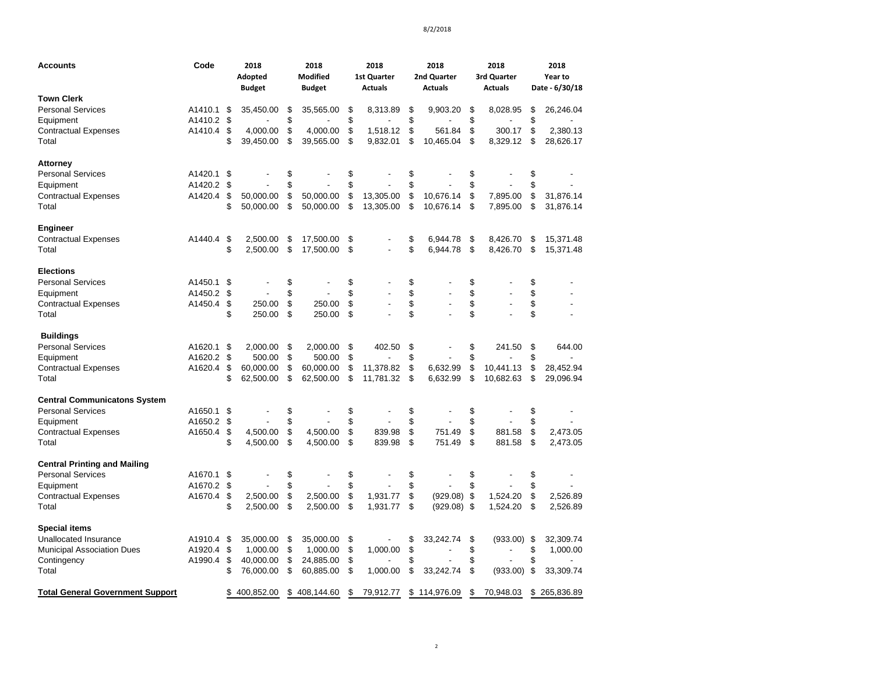| <b>Accounts</b>                         | Code       | 2018<br>Adopted<br><b>Budget</b> | 2018<br><b>Modified</b><br><b>Budget</b> |    | 2018<br>1st Quarter<br><b>Actuals</b> | 2018<br>2nd Quarter<br><b>Actuals</b> | 2018<br>3rd Quarter<br><b>Actuals</b> |    | 2018<br>Year to<br>Date - 6/30/18 |
|-----------------------------------------|------------|----------------------------------|------------------------------------------|----|---------------------------------------|---------------------------------------|---------------------------------------|----|-----------------------------------|
| <b>Town Clerk</b>                       |            |                                  |                                          |    |                                       |                                       |                                       |    |                                   |
| <b>Personal Services</b>                | A1410.1    | \$<br>35,450.00                  | \$<br>35,565.00                          | \$ | 8,313.89                              | \$<br>9,903.20                        | \$<br>8,028.95                        | \$ | 26,246.04                         |
| Equipment                               | A1410.2    | \$                               | \$                                       | \$ |                                       | \$                                    | \$                                    | \$ |                                   |
| <b>Contractual Expenses</b>             | A1410.4    | \$<br>4,000.00                   | \$<br>4,000.00                           | \$ | 1,518.12                              | \$<br>561.84                          | \$<br>300.17                          | \$ | 2,380.13                          |
| Total                                   |            | \$<br>39,450.00                  | \$<br>39,565.00                          | \$ | 9,832.01                              | \$<br>10,465.04                       | \$<br>8,329.12                        | S  | 28,626.17                         |
| Attorney                                |            |                                  |                                          |    |                                       |                                       |                                       |    |                                   |
| <b>Personal Services</b>                | A1420.1    | \$                               | \$                                       | \$ |                                       | \$                                    | \$                                    | \$ |                                   |
| Equipment                               | A1420.2    | \$                               | \$                                       | \$ |                                       | \$                                    | \$                                    | \$ |                                   |
| <b>Contractual Expenses</b>             | A1420.4    | \$<br>50,000.00                  | \$<br>50,000.00                          | \$ | 13,305.00                             | \$<br>10,676.14                       | \$<br>7,895.00                        | \$ | 31,876.14                         |
| Total                                   |            | \$<br>50,000.00                  | \$<br>50,000.00                          | \$ | 13,305.00                             | \$<br>10,676.14                       | \$<br>7,895.00                        | \$ | 31,876.14                         |
| Engineer                                |            |                                  |                                          |    |                                       |                                       |                                       |    |                                   |
| <b>Contractual Expenses</b>             | A1440.4    | \$<br>2,500.00                   | \$<br>17,500.00                          | \$ |                                       | \$<br>6,944.78                        | \$<br>8,426.70                        | \$ | 15,371.48                         |
| Total                                   |            | \$<br>2,500.00                   | \$<br>17,500.00                          | \$ |                                       | \$<br>6,944.78                        | \$<br>8,426.70                        | \$ | 15,371.48                         |
| <b>Elections</b>                        |            |                                  |                                          |    |                                       |                                       |                                       |    |                                   |
| <b>Personal Services</b>                | A1450.1    | \$                               | \$                                       | \$ |                                       | \$                                    | \$                                    | \$ |                                   |
| Equipment                               | A1450.2    | \$                               | \$                                       | \$ |                                       | \$                                    | \$                                    | \$ |                                   |
| <b>Contractual Expenses</b>             | A1450.4    | \$<br>250.00                     | \$<br>250.00                             | \$ |                                       | \$                                    | \$                                    | \$ |                                   |
| Total                                   |            | \$<br>250.00                     | \$<br>250.00                             | \$ |                                       | \$                                    | \$                                    | \$ |                                   |
| <b>Buildings</b>                        |            |                                  |                                          |    |                                       |                                       |                                       |    |                                   |
| <b>Personal Services</b>                | A1620.1    | \$<br>2,000.00                   | \$<br>2,000.00                           | \$ | 402.50                                | \$                                    | \$<br>241.50                          | \$ | 644.00                            |
| Equipment                               | A1620.2 \$ | 500.00                           | \$<br>500.00                             | \$ |                                       | \$                                    | \$                                    | \$ |                                   |
| <b>Contractual Expenses</b>             | A1620.4    | \$<br>60,000.00                  | \$<br>60,000.00                          | \$ | 11,378.82                             | \$<br>6,632.99                        | \$<br>10,441.13                       | \$ | 28,452.94                         |
| Total                                   |            | \$<br>62,500.00                  | \$<br>62,500.00                          | \$ | 11,781.32                             | \$<br>6,632.99                        | \$<br>10,682.63                       | \$ | 29,096.94                         |
| <b>Central Communicatons System</b>     |            |                                  |                                          |    |                                       |                                       |                                       |    |                                   |
| <b>Personal Services</b>                | A1650.1    | \$                               | \$                                       | \$ |                                       | \$                                    | \$                                    | \$ |                                   |
| Equipment                               | A1650.2    | \$                               | \$                                       | \$ |                                       | \$                                    | \$                                    | \$ |                                   |
| <b>Contractual Expenses</b>             | A1650.4    | \$<br>4,500.00                   | \$<br>4,500.00                           | \$ | 839.98                                | \$<br>751.49                          | \$<br>881.58                          | \$ | 2,473.05                          |
| Total                                   |            | \$<br>4,500.00                   | \$<br>4,500.00                           | \$ | 839.98                                | \$<br>751.49                          | \$<br>881.58                          | \$ | 2,473.05                          |
| <b>Central Printing and Mailing</b>     |            |                                  |                                          |    |                                       |                                       |                                       |    |                                   |
| <b>Personal Services</b>                | A1670.1    | \$                               | \$                                       | \$ |                                       | \$                                    | \$                                    | \$ |                                   |
| Equipment                               | A1670.2    | \$                               | \$                                       | \$ |                                       | \$                                    | \$                                    | \$ |                                   |
| <b>Contractual Expenses</b>             | A1670.4    | \$<br>2,500.00                   | \$<br>2,500.00                           | \$ | 1.931.77                              | \$<br>(929.08)                        | \$<br>1,524.20                        | \$ | 2,526.89                          |
| Total                                   |            | \$<br>2,500.00                   | \$<br>2,500.00                           | \$ | 1,931.77                              | \$<br>(929.08)                        | \$<br>1,524.20                        | \$ | 2,526.89                          |
| <b>Special items</b>                    |            |                                  |                                          |    |                                       |                                       |                                       |    |                                   |
| <b>Unallocated Insurance</b>            | A1910.4    | \$<br>35,000.00                  | \$<br>35,000.00                          | \$ |                                       | \$<br>33,242.74                       | \$<br>$(933.00)$ \$                   |    | 32,309.74                         |
| <b>Municipal Association Dues</b>       | A1920.4    | \$<br>1,000.00                   | \$<br>1,000.00                           | \$ | 1,000.00                              | \$                                    | \$                                    | \$ | 1,000.00                          |
| Contingency                             | A1990.4    | \$<br>40,000.00                  | \$<br>24,885.00                          | \$ |                                       | \$                                    | \$                                    | \$ |                                   |
| Total                                   |            | \$<br>76,000.00                  | \$<br>60,885.00                          | S. | 1,000.00                              | \$<br>33,242.74                       | \$<br>(933.00)                        | \$ | 33,309.74                         |
| <b>Total General Government Support</b> |            | \$<br>400,852.00                 | \$408,144.60                             | \$ | 79,912.77                             | \$<br>114,976.09                      | \$<br>70.948.03                       | \$ | 265,836.89                        |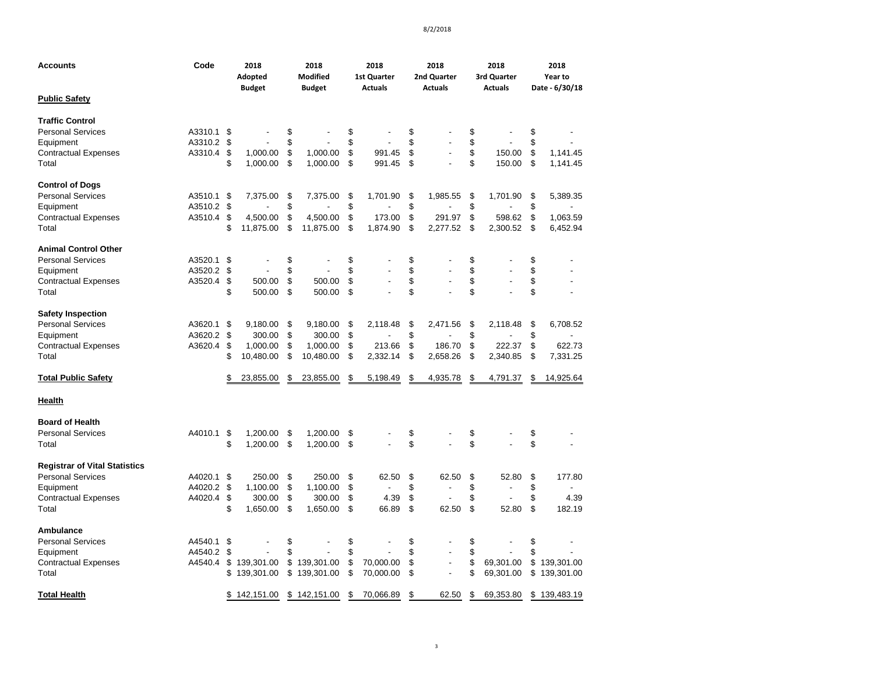| <b>Accounts</b>                          | Code               |          | 2018<br>2018<br><b>Modified</b><br>Adopted<br><b>Budget</b><br><b>Budget</b> |          | 2018<br>2018<br><b>1st Quarter</b><br>2nd Quarter<br><b>Actuals</b><br><b>Actuals</b> |          |                        |          | 2018<br>3rd Quarter<br><b>Actuals</b> | 2018<br>Year to<br>Date - 6/30/18 |                        |          |                          |
|------------------------------------------|--------------------|----------|------------------------------------------------------------------------------|----------|---------------------------------------------------------------------------------------|----------|------------------------|----------|---------------------------------------|-----------------------------------|------------------------|----------|--------------------------|
| <b>Public Safety</b>                     |                    |          |                                                                              |          |                                                                                       |          |                        |          |                                       |                                   |                        |          |                          |
| <b>Traffic Control</b>                   |                    |          |                                                                              |          |                                                                                       |          |                        |          |                                       |                                   |                        |          |                          |
| <b>Personal Services</b>                 | A3310.1            | \$       |                                                                              | \$       |                                                                                       | \$       |                        | \$       |                                       | \$                                |                        | \$       |                          |
| Equipment<br><b>Contractual Expenses</b> | A3310.2<br>A3310.4 | \$<br>\$ | 1,000.00                                                                     | \$<br>\$ | 1,000.00                                                                              | \$<br>\$ | 991.45                 | \$<br>\$ |                                       | \$<br>\$                          | 150.00                 | \$<br>\$ | 1,141.45                 |
| Total                                    |                    | \$       | 1,000.00                                                                     | \$       | 1,000.00                                                                              | \$       | 991.45                 | \$       |                                       | \$                                | 150.00                 | \$       | 1,141.45                 |
| <b>Control of Dogs</b>                   |                    |          |                                                                              |          |                                                                                       |          |                        |          |                                       |                                   |                        |          |                          |
| <b>Personal Services</b>                 | A3510.1            | \$       | 7,375.00                                                                     | \$       | 7,375.00                                                                              | \$       | 1,701.90               | \$       | 1,985.55                              | \$                                | 1,701.90               | \$       | 5,389.35                 |
| Equipment                                | A3510.2            | \$       |                                                                              | \$       |                                                                                       | \$       |                        | \$       |                                       | \$                                |                        | \$       |                          |
| <b>Contractual Expenses</b><br>Total     | A3510.4            | \$<br>\$ | 4,500.00<br>11,875.00                                                        | \$<br>\$ | 4,500.00<br>11,875.00                                                                 | \$<br>\$ | 173.00<br>1,874.90     | \$<br>\$ | 291.97<br>2,277.52                    | \$<br>\$                          | 598.62<br>2,300.52     | \$<br>\$ | 1,063.59<br>6,452.94     |
| <b>Animal Control Other</b>              |                    |          |                                                                              |          |                                                                                       |          |                        |          |                                       |                                   |                        |          |                          |
| <b>Personal Services</b>                 | A3520.1            | \$       |                                                                              | \$       |                                                                                       | \$       |                        | \$       |                                       | \$                                |                        | \$       |                          |
| Equipment                                | A3520.2            | \$       |                                                                              | \$       |                                                                                       | \$       |                        | \$       |                                       | \$                                |                        | \$       |                          |
| <b>Contractual Expenses</b>              | A3520.4            | \$       | 500.00                                                                       | \$       | 500.00                                                                                | \$       |                        | \$       |                                       | \$                                |                        | \$       |                          |
| Total                                    |                    | \$       | 500.00                                                                       | \$       | 500.00                                                                                | \$       |                        | \$       |                                       | \$                                |                        | \$       |                          |
| <b>Safety Inspection</b>                 |                    |          |                                                                              |          |                                                                                       |          |                        |          |                                       |                                   |                        |          |                          |
| <b>Personal Services</b>                 | A3620.1            | \$       | 9.180.00                                                                     | \$       | 9.180.00                                                                              | \$       | 2.118.48               | \$       | 2.471.56                              | \$                                | 2.118.48               | \$       | 6,708.52                 |
| Equipment                                | A3620.2            | \$       | 300.00                                                                       | \$       | 300.00                                                                                | \$       |                        | \$       |                                       | \$                                |                        | \$       |                          |
| <b>Contractual Expenses</b><br>Total     | A3620.4            | \$<br>\$ | 1,000.00<br>10,480.00                                                        | \$<br>\$ | 1,000.00<br>10,480.00                                                                 | \$<br>\$ | 213.66<br>2,332.14     | \$<br>\$ | 186.70<br>2,658.26                    | \$<br>\$                          | 222.37<br>2,340.85     | \$<br>\$ | 622.73<br>7,331.25       |
|                                          |                    |          |                                                                              |          |                                                                                       |          |                        |          |                                       |                                   |                        |          |                          |
| <b>Total Public Safety</b>               |                    | \$       | 23,855.00                                                                    | \$       | 23,855.00                                                                             | \$       | 5,198.49               | \$       | 4,935.78                              | \$                                | 4,791.37               | \$       | 14,925.64                |
| <b>Health</b>                            |                    |          |                                                                              |          |                                                                                       |          |                        |          |                                       |                                   |                        |          |                          |
| <b>Board of Health</b>                   |                    |          |                                                                              |          |                                                                                       |          |                        |          |                                       |                                   |                        |          |                          |
| <b>Personal Services</b>                 | A4010.1            | \$       | 1,200.00                                                                     | \$       | 1,200.00                                                                              | \$       |                        | \$       |                                       | \$                                |                        | \$       |                          |
| Total                                    |                    | \$       | 1,200.00                                                                     | \$       | 1,200.00                                                                              | \$       |                        | \$       |                                       | \$                                |                        | \$       |                          |
| <b>Registrar of Vital Statistics</b>     |                    |          |                                                                              |          |                                                                                       |          |                        |          |                                       |                                   |                        |          |                          |
| <b>Personal Services</b>                 | A4020.1            | \$       | 250.00                                                                       | \$       | 250.00                                                                                | \$       | 62.50                  | \$       | 62.50                                 | \$                                | 52.80                  | \$       | 177.80                   |
| Equipment                                | A4020.2            | \$       | 1,100.00                                                                     | \$       | 1,100.00                                                                              | \$       | ٠                      | \$       |                                       | \$                                |                        | \$       |                          |
| <b>Contractual Expenses</b>              | A4020.4            | \$<br>\$ | 300.00                                                                       | \$<br>\$ | 300.00                                                                                | \$<br>\$ | 4.39<br>66.89          | \$<br>\$ | 62.50                                 | \$<br>\$                          | 52.80                  | \$<br>\$ | 4.39                     |
| Total                                    |                    |          | 1,650.00                                                                     |          | 1,650.00                                                                              |          |                        |          |                                       |                                   |                        |          | 182.19                   |
| Ambulance                                |                    |          |                                                                              |          |                                                                                       |          |                        |          |                                       |                                   |                        |          |                          |
| <b>Personal Services</b>                 | A4540.1            | \$       |                                                                              | \$       |                                                                                       | \$       |                        | \$       |                                       | \$                                |                        | \$       |                          |
| Equipment                                | A4540.2            | \$       |                                                                              | \$       |                                                                                       | \$       |                        | \$       | $\overline{\phantom{a}}$              | \$<br>\$                          |                        | \$       |                          |
| <b>Contractual Expenses</b><br>Total     | A4540.4            | \$<br>\$ | 139,301.00<br>139,301.00                                                     | \$<br>\$ | 139,301.00<br>139,301.00                                                              | \$<br>\$ | 70,000.00<br>70,000.00 | \$<br>\$ |                                       | \$                                | 69,301.00<br>69,301.00 | \$<br>\$ | 139,301.00<br>139,301.00 |
| <b>Total Health</b>                      |                    | \$       | 142,151.00                                                                   |          | \$142,151.00                                                                          | \$       | 70,066.89              | \$       | 62.50                                 | \$                                | 69,353.80              |          | \$139,483.19             |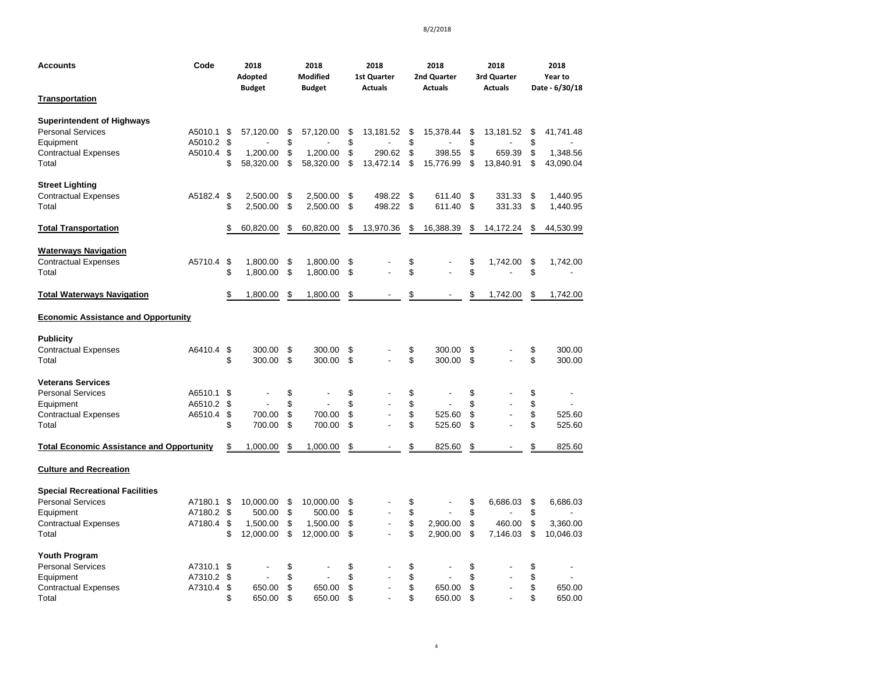| <b>Accounts</b>                                  | Code               |          | 2018<br>Adopted<br><b>Budget</b> |          | 2018<br><b>Modified</b><br><b>Budget</b> |          | 2018<br><b>1st Quarter</b><br><b>Actuals</b> |          | 2018<br>2nd Quarter<br><b>Actuals</b> |          | 2018<br>3rd Quarter<br><b>Actuals</b> |          | 2018<br>Year to<br>Date - 6/30/18 |
|--------------------------------------------------|--------------------|----------|----------------------------------|----------|------------------------------------------|----------|----------------------------------------------|----------|---------------------------------------|----------|---------------------------------------|----------|-----------------------------------|
| <b>Transportation</b>                            |                    |          |                                  |          |                                          |          |                                              |          |                                       |          |                                       |          |                                   |
| <b>Superintendent of Highways</b>                |                    |          |                                  |          |                                          |          |                                              |          |                                       |          |                                       |          |                                   |
| <b>Personal Services</b><br>Equipment            | A5010.1<br>A5010.2 | \$<br>\$ | 57,120.00                        | \$<br>\$ | 57,120.00                                | \$<br>\$ | 13,181.52                                    | \$<br>\$ | 15,378.44                             | \$<br>\$ | 13,181.52                             | \$<br>\$ | 41,741.48                         |
| <b>Contractual Expenses</b>                      | A5010.4            | \$       | 1,200.00                         | \$       | 1,200.00                                 | \$       | 290.62                                       | \$       | 398.55                                | \$       | 659.39                                | \$       | 1,348.56                          |
| Total                                            |                    | \$       | 58,320.00                        | \$       | 58,320.00                                | \$       | 13,472.14                                    | \$       | 15,776.99                             | \$       | 13,840.91                             | \$       | 43,090.04                         |
| <b>Street Lighting</b>                           |                    |          |                                  |          |                                          |          |                                              |          |                                       |          |                                       |          |                                   |
| <b>Contractual Expenses</b>                      | A5182.4            | \$       | 2,500.00                         | \$       | 2,500.00                                 | \$       | 498.22                                       | \$       | 611.40                                | \$       | 331.33                                | \$       | 1,440.95                          |
| Total                                            |                    | \$       | 2,500.00                         | \$       | 2,500.00                                 | \$       | 498.22                                       | \$       | 611.40                                | \$       | 331.33                                | \$       | 1,440.95                          |
| <b>Total Transportation</b>                      |                    | \$       | 60,820.00                        | \$       | 60,820.00                                | \$       | 13,970.36                                    | \$       | 16,388.39                             | \$       | 14,172.24                             | \$       | 44,530.99                         |
| <b>Waterways Navigation</b>                      |                    |          |                                  |          |                                          |          |                                              |          |                                       |          |                                       |          |                                   |
| <b>Contractual Expenses</b>                      | A5710.4            | \$       | 1,800.00                         | \$       | 1,800.00                                 | \$       |                                              | \$       |                                       | \$       | 1,742.00                              | \$       | 1,742.00                          |
| Total                                            |                    | \$       | 1,800.00                         | \$       | 1,800.00                                 | \$       |                                              | \$       |                                       | \$       |                                       | \$       |                                   |
| <b>Total Waterways Navigation</b>                |                    | \$       | 1,800.00                         | \$       | 1,800.00                                 | \$       |                                              | \$       |                                       | \$       | 1,742.00                              | \$       | 1,742.00                          |
| <b>Economic Assistance and Opportunity</b>       |                    |          |                                  |          |                                          |          |                                              |          |                                       |          |                                       |          |                                   |
| <b>Publicity</b>                                 |                    |          |                                  |          |                                          |          |                                              |          |                                       |          |                                       |          |                                   |
| <b>Contractual Expenses</b>                      | A6410.4            | \$       | 300.00                           | \$       | 300.00                                   | \$       |                                              | \$       | 300.00                                | \$       |                                       | \$       | 300.00                            |
| Total                                            |                    | \$       | 300.00                           | \$       | 300.00                                   | \$       |                                              | \$       | 300.00                                | \$       |                                       | \$       | 300.00                            |
| <b>Veterans Services</b>                         |                    |          |                                  |          |                                          |          |                                              |          |                                       |          |                                       |          |                                   |
| <b>Personal Services</b>                         | A6510.1            | \$       |                                  | \$       |                                          | \$       |                                              | \$       |                                       | \$       |                                       | \$       | $\overline{a}$                    |
| Equipment                                        | A6510.2            | \$       |                                  | \$       |                                          | \$       |                                              | \$       |                                       | \$       |                                       | \$       |                                   |
| <b>Contractual Expenses</b>                      | A6510.4            | \$       | 700.00                           | \$       | 700.00                                   | \$       |                                              | \$       | 525.60                                | \$       |                                       | \$       | 525.60                            |
| Total                                            |                    | \$       | 700.00                           | \$       | 700.00                                   | \$       |                                              | \$       | 525.60                                | \$       |                                       | \$       | 525.60                            |
| <b>Total Economic Assistance and Opportunity</b> |                    | \$       | 1,000.00                         | \$       | 1,000.00                                 | \$       |                                              | \$       | 825.60                                | \$       |                                       | \$       | 825.60                            |
| <b>Culture and Recreation</b>                    |                    |          |                                  |          |                                          |          |                                              |          |                                       |          |                                       |          |                                   |
| <b>Special Recreational Facilities</b>           |                    |          |                                  |          |                                          |          |                                              |          |                                       |          |                                       |          |                                   |
| <b>Personal Services</b>                         | A7180.1            | \$       | 10,000.00                        | \$       | 10,000.00                                | \$       |                                              | \$       |                                       | \$       | 6,686.03                              | \$       | 6,686.03                          |
| Equipment                                        | A7180.2            | \$       | 500.00                           | \$       | 500.00                                   | \$       |                                              | \$       |                                       | \$       |                                       | \$       |                                   |
| <b>Contractual Expenses</b>                      | A7180.4            | \$       | 1,500.00                         | \$       | 1,500.00                                 | \$       |                                              | \$       | 2,900.00                              | \$       | 460.00                                | \$       | 3,360.00                          |
| Total                                            |                    | \$       | 12,000.00                        | \$       | 12,000.00                                | \$       |                                              | \$       | 2,900.00                              | \$       | 7,146.03                              | \$       | 10,046.03                         |
| <b>Youth Program</b>                             |                    |          |                                  |          |                                          |          |                                              |          |                                       |          |                                       |          |                                   |
| <b>Personal Services</b>                         | A7310.1            | \$       |                                  | \$       |                                          | \$       |                                              | \$       |                                       | \$       |                                       | \$       |                                   |
| Equipment                                        | A7310.2            | \$       |                                  | \$       |                                          | \$       |                                              | \$       |                                       | \$       |                                       | \$       |                                   |
| <b>Contractual Expenses</b>                      | A7310.4            | \$       | 650.00                           | \$       | 650.00                                   | \$       |                                              | \$       | 650.00                                | \$       |                                       | \$       | 650.00                            |
| Total                                            |                    | \$       | 650.00                           | \$       | 650.00                                   | \$       |                                              | \$       | 650.00                                | \$       |                                       | \$       | 650.00                            |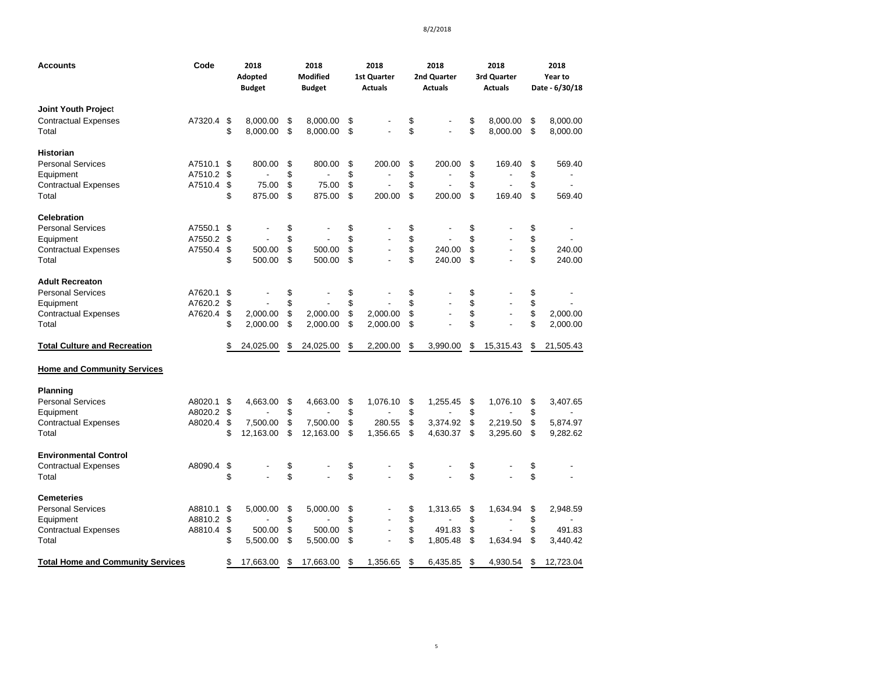| Accounts                                 | Code    | 2018<br>Adopted<br><b>Budget</b> | 2018<br><b>Modified</b><br><b>Budget</b> | 2018<br><b>1st Quarter</b><br><b>Actuals</b> | 2018<br>2nd Quarter<br><b>Actuals</b> | 2018<br>3rd Quarter<br><b>Actuals</b> | 2018<br>Year to<br>Date - 6/30/18 |
|------------------------------------------|---------|----------------------------------|------------------------------------------|----------------------------------------------|---------------------------------------|---------------------------------------|-----------------------------------|
| Joint Youth Project                      |         |                                  |                                          |                                              |                                       |                                       |                                   |
| <b>Contractual Expenses</b>              | A7320.4 | \$<br>8.000.00                   | \$<br>8,000.00                           | \$                                           | \$                                    | \$<br>8,000.00                        | \$<br>8,000.00                    |
| Total                                    |         | \$<br>8,000.00                   | \$<br>8,000.00                           | \$                                           | \$                                    | \$<br>8,000.00                        | \$<br>8,000.00                    |
| Historian                                |         |                                  |                                          |                                              |                                       |                                       |                                   |
| <b>Personal Services</b>                 | A7510.1 | \$<br>800.00                     | \$<br>800.00                             | \$<br>200.00                                 | \$<br>200.00                          | \$<br>169.40                          | \$<br>569.40                      |
| Equipment                                | A7510.2 | \$                               | \$                                       | \$                                           | \$                                    | \$                                    | \$                                |
| Contractual Expenses                     | A7510.4 | \$<br>75.00                      | \$<br>75.00                              | \$                                           | \$                                    | \$                                    | \$                                |
| Total                                    |         | \$<br>875.00                     | \$<br>875.00                             | \$<br>200.00                                 | \$<br>200.00                          | \$<br>169.40                          | \$<br>569.40                      |
| <b>Celebration</b>                       |         |                                  |                                          |                                              |                                       |                                       |                                   |
| <b>Personal Services</b>                 | A7550.1 | \$                               | \$                                       | \$                                           | \$                                    | \$                                    | \$                                |
| Equipment                                | A7550.2 | \$                               | \$                                       | \$                                           | \$                                    | \$                                    | \$                                |
| Contractual Expenses                     | A7550.4 | \$<br>500.00                     | \$<br>500.00                             | \$                                           | \$<br>240.00                          | \$                                    | \$<br>240.00                      |
| Total                                    |         | \$<br>500.00                     | \$<br>500.00                             | \$                                           | \$<br>240.00                          | \$                                    | \$<br>240.00                      |
| Adult Recreaton                          |         |                                  |                                          |                                              |                                       |                                       |                                   |
| Personal Services                        | A7620.1 | \$                               | \$                                       | \$                                           | \$                                    | \$                                    | \$                                |
| Equipment                                | A7620.2 | \$                               | \$                                       | \$                                           | \$                                    | \$                                    | \$                                |
| <b>Contractual Expenses</b>              | A7620.4 | \$<br>2,000.00                   | \$<br>2,000.00                           | \$<br>2,000.00                               | \$                                    | \$                                    | \$<br>2,000.00                    |
| Total                                    |         | \$<br>2,000.00                   | \$<br>2,000.00                           | \$<br>2,000.00                               | \$                                    | \$                                    | \$<br>2,000.00                    |
| <b>Total Culture and Recreation</b>      |         | \$<br>24,025.00                  | \$<br>24,025.00                          | \$<br>2,200.00                               | \$<br>3,990.00                        | \$<br>15,315.43                       | \$<br>21,505.43                   |
| <b>Home and Community Services</b>       |         |                                  |                                          |                                              |                                       |                                       |                                   |
| Planning                                 |         |                                  |                                          |                                              |                                       |                                       |                                   |
| <b>Personal Services</b>                 | A8020.1 | \$<br>4.663.00                   | \$<br>4.663.00                           | \$<br>1,076.10                               | \$<br>1,255.45                        | \$<br>1,076.10                        | \$<br>3,407.65                    |
| Equipment                                | A8020.2 | \$                               | \$                                       | \$                                           | \$                                    | \$                                    | \$                                |
| <b>Contractual Expenses</b>              | A8020.4 | \$<br>7,500.00                   | \$<br>7,500.00                           | \$<br>280.55                                 | \$<br>3,374.92                        | \$<br>2,219.50                        | \$<br>5,874.97                    |
| Total                                    |         | \$<br>12,163.00                  | \$<br>12,163.00                          | \$<br>1,356.65                               | \$<br>4,630.37                        | \$<br>3,295.60                        | \$<br>9,282.62                    |
| <b>Environmental Control</b>             |         |                                  |                                          |                                              |                                       |                                       |                                   |
| <b>Contractual Expenses</b>              | A8090.4 | \$                               | \$                                       | \$                                           | \$                                    | \$                                    | \$                                |
| Total                                    |         | \$                               | \$                                       | \$                                           | \$                                    | \$                                    | \$                                |
| Cemeteries                               |         |                                  |                                          |                                              |                                       |                                       |                                   |
| <b>Personal Services</b>                 | A8810.1 | \$<br>5.000.00                   | \$<br>5.000.00                           | \$                                           | \$<br>1,313.65                        | \$<br>1,634.94                        | \$<br>2,948.59                    |
| Equipment                                | A8810.2 | \$                               | \$                                       | \$                                           | \$                                    | \$                                    | \$                                |
| <b>Contractual Expenses</b>              | A8810.4 | \$<br>500.00                     | \$<br>500.00                             | \$<br>$\overline{\phantom{a}}$               | \$<br>491.83                          | \$                                    | \$<br>491.83                      |
| Total                                    |         | \$<br>5,500.00                   | \$<br>5,500.00                           | \$                                           | \$<br>1,805.48                        | \$<br>1,634.94                        | \$<br>3,440.42                    |
| <b>Total Home and Community Services</b> |         | \$<br>17,663.00                  | \$<br>17,663.00                          | \$<br>1.356.65                               | \$<br>6,435.85                        | \$<br>4.930.54                        | \$<br>12.723.04                   |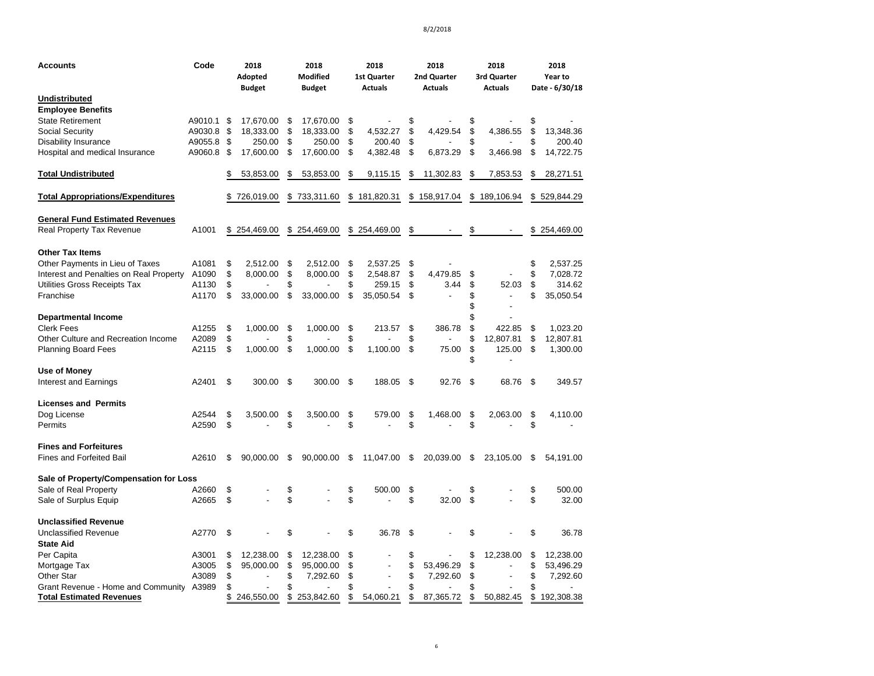| Accounts                                  | Code    | 2018<br>Adopted<br><b>Budget</b> | 2018<br><b>Modified</b><br><b>Budget</b> | 2018<br><b>1st Quarter</b><br><b>Actuals</b> | 2018<br>2nd Quarter<br><b>Actuals</b> |          | 2018<br>3rd Quarter<br><b>Actuals</b> | 2018<br>Year to<br>Date - 6/30/18 |
|-------------------------------------------|---------|----------------------------------|------------------------------------------|----------------------------------------------|---------------------------------------|----------|---------------------------------------|-----------------------------------|
| Undistributed<br><b>Employee Benefits</b> |         |                                  |                                          |                                              |                                       |          |                                       |                                   |
| <b>State Retirement</b>                   | A9010.1 | \$<br>17,670.00                  | \$<br>17,670.00                          | \$                                           | \$                                    | \$       |                                       | \$                                |
| Social Security                           | A9030.8 | \$<br>18,333.00                  | \$<br>18,333.00                          | \$<br>4,532.27                               | \$<br>4,429.54                        | \$       | 4,386.55                              | \$<br>13,348.36                   |
| Disability Insurance                      | A9055.8 | \$<br>250.00                     | \$<br>250.00                             | \$<br>200.40                                 | \$                                    | \$       |                                       | 200.40                            |
| Hospital and medical Insurance            | A9060.8 | \$<br>17,600.00                  | \$<br>17,600.00                          | \$<br>4,382.48                               | \$<br>6,873.29                        | \$       | 3,466.98                              | \$<br>14,722.75                   |
| <b>Total Undistributed</b>                |         | \$<br>53,853.00                  | \$<br>53,853.00                          | \$<br>9,115.15                               | \$<br>11,302.83                       | \$       | 7,853.53                              | \$<br>28,271.51                   |
| <b>Total Appropriations/Expenditures</b>  |         | \$<br>726,019.00                 | \$<br>733,311.60                         | \$181,820.31                                 | \$158,917.04                          |          | \$189,106.94                          | \$529,844.29                      |
| <b>General Fund Estimated Revenues</b>    |         |                                  |                                          |                                              |                                       |          |                                       |                                   |
| Real Property Tax Revenue                 | A1001   | \$254,469.00                     | \$254,469.00                             | \$254,469.00                                 | \$                                    | \$       |                                       | \$254,469.00                      |
| <b>Other Tax Items</b>                    |         |                                  |                                          |                                              |                                       |          |                                       |                                   |
| Other Payments in Lieu of Taxes           | A1081   | \$<br>2,512.00                   | \$<br>2,512.00                           | \$<br>2,537.25                               | \$                                    |          |                                       | \$<br>2,537.25                    |
| Interest and Penalties on Real Property   | A1090   | \$<br>8,000.00                   | \$<br>8,000.00                           | \$<br>2,548.87                               | \$<br>4,479.85                        | \$       |                                       | \$<br>7,028.72                    |
| Utilities Gross Receipts Tax              | A1130   | \$                               |                                          | \$<br>259.15                                 | \$<br>3.44                            | \$       | 52.03                                 | \$<br>314.62                      |
| Franchise                                 | A1170   | \$<br>33,000.00                  | \$<br>33,000.00                          | \$<br>35.050.54                              | \$                                    | \$<br>\$ | $\overline{a}$                        | \$<br>35,050.54                   |
| <b>Departmental Income</b>                |         |                                  |                                          |                                              |                                       | \$       |                                       |                                   |
| Clerk Fees                                | A1255   | \$<br>1,000.00                   | \$<br>1.000.00                           | \$<br>213.57                                 | \$<br>386.78                          | \$       | 422.85                                | \$<br>1,023.20                    |
| Other Culture and Recreation Income       | A2089   | \$                               | \$                                       | \$                                           | \$                                    | \$       | 12,807.81                             | \$<br>12,807.81                   |
| <b>Planning Board Fees</b>                | A2115   | \$<br>1,000.00                   | \$<br>1,000.00                           | \$<br>1,100.00                               | \$<br>75.00                           | \$<br>\$ | 125.00                                | \$<br>1,300.00                    |
| Use of Money                              |         |                                  |                                          |                                              |                                       |          |                                       |                                   |
| <b>Interest and Earnings</b>              | A2401   | \$<br>300.00 \$                  | 300.00                                   | \$<br>188.05                                 | \$<br>92.76                           | \$       | 68.76                                 | \$<br>349.57                      |
| <b>Licenses and Permits</b>               |         |                                  |                                          |                                              |                                       |          |                                       |                                   |
| Dog License                               | A2544   | \$<br>3,500.00                   | \$<br>3,500.00                           | \$<br>579.00                                 | \$<br>1,468.00                        | \$       | 2,063.00                              | \$<br>4,110.00                    |
| Permits                                   | A2590   | \$                               | \$                                       | \$                                           | \$                                    | \$       |                                       | \$                                |
| <b>Fines and Forfeitures</b>              |         |                                  |                                          |                                              |                                       |          |                                       |                                   |
| <b>Fines and Forfeited Bail</b>           | A2610   | \$<br>90,000.00                  | \$<br>90,000.00                          | \$<br>11,047.00                              | \$<br>20,039.00                       | \$       | 23,105.00                             | \$<br>54,191.00                   |
| Sale of Property/Compensation for Loss    |         |                                  |                                          |                                              |                                       |          |                                       |                                   |
| Sale of Real Property                     | A2660   | \$                               | \$                                       | \$<br>500.00                                 | \$                                    | \$       |                                       | \$<br>500.00                      |
| Sale of Surplus Equip                     | A2665   | \$                               | \$                                       | \$                                           | \$<br>32.00                           | \$       |                                       | \$<br>32.00                       |
| <b>Unclassified Revenue</b>               |         |                                  |                                          |                                              |                                       |          |                                       |                                   |
| <b>Unclassified Revenue</b>               | A2770   | \$                               | \$                                       | \$<br>36.78                                  | \$                                    | \$       |                                       | \$<br>36.78                       |
| <b>State Aid</b>                          |         |                                  |                                          |                                              |                                       |          |                                       |                                   |
| Per Capita                                | A3001   | \$<br>12,238.00                  | \$<br>12,238.00                          | \$                                           | \$                                    | \$       | 12,238.00                             | \$<br>12,238.00                   |
| Mortgage Tax                              | A3005   | \$<br>95,000.00                  | \$<br>95,000.00                          | \$                                           | \$<br>53,496.29                       | \$       |                                       | \$<br>53,496.29                   |
| Other Star                                | A3089   | \$                               | \$<br>7,292.60                           | \$                                           | \$<br>7,292.60                        | \$       |                                       | \$<br>7,292.60                    |
| Grant Revenue - Home and Community        | A3989   | \$                               | \$                                       | \$                                           | \$                                    | \$       |                                       | \$                                |
| <b>Total Estimated Revenues</b>           |         | \$<br>246,550.00                 | \$<br>253,842.60                         | \$<br>54,060.21                              | \$<br>87,365.72                       | \$       | 50,882.45                             | \$<br>192,308.38                  |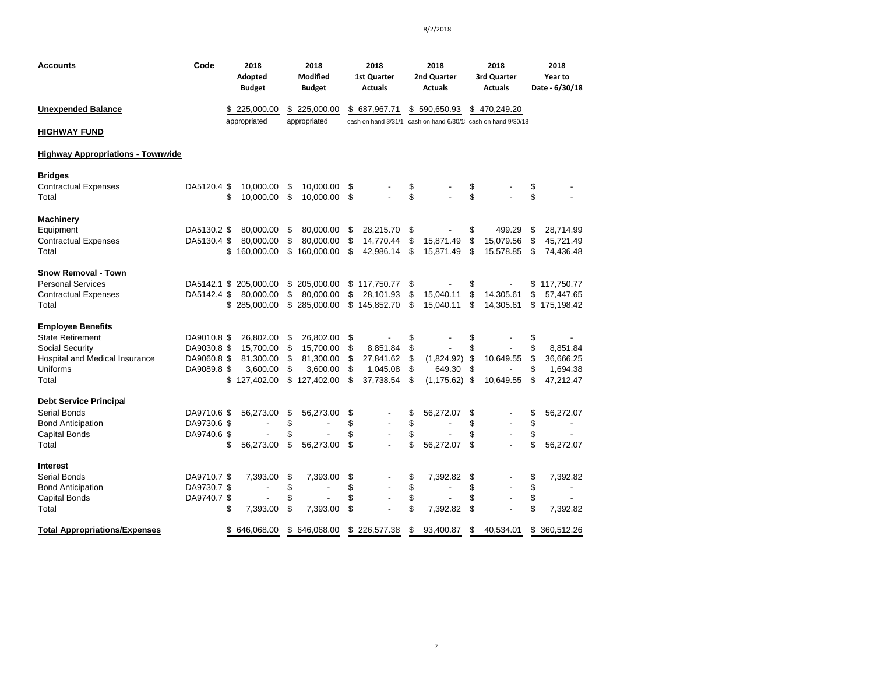| Accounts                                 | Code        | 2018<br>Adopted<br><b>Budget</b> |              | 2018<br><b>Modified</b><br><b>Budget</b> |          | 2018<br>1st Quarter<br><b>Actuals</b>                        |          | 2018<br>2nd Quarter<br><b>Actuals</b> |          | 2018<br>3rd Quarter<br><b>Actuals</b> |          | 2018<br>Year to<br>Date - 6/30/18 |
|------------------------------------------|-------------|----------------------------------|--------------|------------------------------------------|----------|--------------------------------------------------------------|----------|---------------------------------------|----------|---------------------------------------|----------|-----------------------------------|
| <b>Unexpended Balance</b>                |             | \$225,000.00                     |              | \$225,000.00                             |          | \$687,967.71                                                 |          | \$590,650.93                          |          | \$470,249.20                          |          |                                   |
| <b>HIGHWAY FUND</b>                      |             | appropriated                     | appropriated |                                          |          | cash on hand 3/31/1 cash on hand 6/30/1 cash on hand 9/30/18 |          |                                       |          |                                       |          |                                   |
| <b>Highway Appropriations - Townwide</b> |             |                                  |              |                                          |          |                                                              |          |                                       |          |                                       |          |                                   |
| <b>Bridges</b>                           |             |                                  |              |                                          |          |                                                              |          |                                       |          |                                       |          |                                   |
| <b>Contractual Expenses</b><br>Total     | DA5120.4 \$ | 10,000.00<br>\$<br>10,000.00     | \$<br>\$     | 10,000.00<br>10,000.00                   | \$<br>\$ |                                                              | \$<br>\$ |                                       | \$<br>\$ |                                       | \$<br>\$ |                                   |
| Machinery                                |             |                                  |              |                                          |          |                                                              |          |                                       |          |                                       |          |                                   |
| Equipment                                | DA5130.2 \$ | 80,000.00                        | \$           | 80,000.00                                | \$       | 28,215.70                                                    | \$       |                                       | \$       | 499.29                                | \$       | 28,714.99                         |
| <b>Contractual Expenses</b>              | DA5130.4 \$ | 80,000.00                        | \$           | 80,000.00                                | \$       | 14,770.44                                                    | \$       | 15,871.49                             | \$       | 15,079.56                             | \$       | 45,721.49                         |
| Total                                    |             | \$<br>160,000.00                 | \$           | 160,000.00                               | \$       | 42,986.14                                                    | \$       | 15,871.49                             | \$       | 15,578.85                             | \$       | 74,436.48                         |
| <b>Snow Removal - Town</b>               |             |                                  |              |                                          |          |                                                              |          |                                       |          |                                       |          |                                   |
| <b>Personal Services</b>                 | DA5142.1 \$ | 205,000.00                       | \$           | 205,000.00                               |          | \$117,750.77                                                 | \$       |                                       | \$       |                                       | \$       | 117,750.77                        |
| <b>Contractual Expenses</b>              | DA5142.4 \$ | 80,000.00                        | \$           | 80,000.00                                | \$       | 28,101.93                                                    | \$       | 15,040.11                             | \$       | 14,305.61                             | \$       | 57,447.65                         |
| Total                                    |             | \$<br>285,000.00                 | \$           | 285,000.00                               | \$       | 145,852.70                                                   | \$       | 15,040.11                             | \$       | 14,305.61                             | \$       | 175,198.42                        |
| <b>Employee Benefits</b>                 |             |                                  |              |                                          |          |                                                              |          |                                       |          |                                       |          |                                   |
| <b>State Retirement</b>                  | DA9010.8 \$ | 26,802.00                        | \$           | 26,802.00                                | \$       |                                                              | \$       |                                       | \$       |                                       | \$       |                                   |
| <b>Social Security</b>                   | DA9030.8 \$ | 15,700.00                        | \$           | 15,700.00                                | \$       | 8,851.84                                                     | \$       |                                       | \$       |                                       | \$       | 8,851.84                          |
| <b>Hospital and Medical Insurance</b>    | DA9060.8 \$ | 81,300.00                        | \$           | 81,300.00                                | \$       | 27,841.62                                                    | \$       | $(1,824.92)$ \$                       |          | 10,649.55                             | \$       | 36,666.25                         |
| Uniforms                                 | DA9089.8 \$ | 3,600.00                         | \$           | 3,600.00                                 | \$       | 1,045.08                                                     | \$       | 649.30                                | \$       |                                       | \$       | 1,694.38                          |
| Total                                    |             | \$127,402.00                     |              | \$127,402.00                             | \$       | 37,738.54                                                    | \$       | $(1, 175.62)$ \$                      |          | 10,649.55                             | \$       | 47,212.47                         |
| <b>Debt Service Principal</b>            |             |                                  |              |                                          |          |                                                              |          |                                       |          |                                       |          |                                   |
| Serial Bonds                             | DA9710.6 \$ | 56,273.00                        | \$           | 56,273.00                                | \$       |                                                              | \$       | 56,272.07                             | \$       |                                       | \$       | 56,272.07                         |
| <b>Bond Anticipation</b>                 | DA9730.6 \$ |                                  | \$           |                                          | \$       |                                                              | \$       |                                       | \$       |                                       | \$       |                                   |
| <b>Capital Bonds</b>                     | DA9740.6 \$ |                                  | \$           |                                          | \$       |                                                              | \$       |                                       | \$       |                                       | \$       |                                   |
| Total                                    |             | \$<br>56,273.00                  | \$           | 56,273.00                                | \$       |                                                              | \$       | 56,272.07                             | \$       |                                       | \$       | 56,272.07                         |
| Interest                                 |             |                                  |              |                                          |          |                                                              |          |                                       |          |                                       |          |                                   |
| Serial Bonds                             | DA9710.7 \$ | 7,393.00                         | \$           | 7,393.00                                 | \$       |                                                              | \$       | 7,392.82                              | \$       |                                       | \$       | 7,392.82                          |
| <b>Bond Anticipation</b>                 | DA9730.7 \$ |                                  | \$           |                                          | \$       |                                                              | \$       |                                       | \$       | $\overline{\phantom{0}}$              | \$       |                                   |
| <b>Capital Bonds</b>                     | DA9740.7 \$ |                                  | \$           |                                          | \$       |                                                              | \$       |                                       | \$       |                                       | \$       |                                   |
| Total                                    |             | \$<br>7,393.00                   | \$           | 7,393.00                                 | \$       |                                                              | \$       | 7,392.82                              | \$       |                                       | \$       | 7,392.82                          |
| <b>Total Appropriations/Expenses</b>     |             | \$646,068.00                     |              | \$646,068.00                             |          | \$226,577.38                                                 | \$       | 93,400.87                             | \$       | 40,534.01                             | \$       | 360,512.26                        |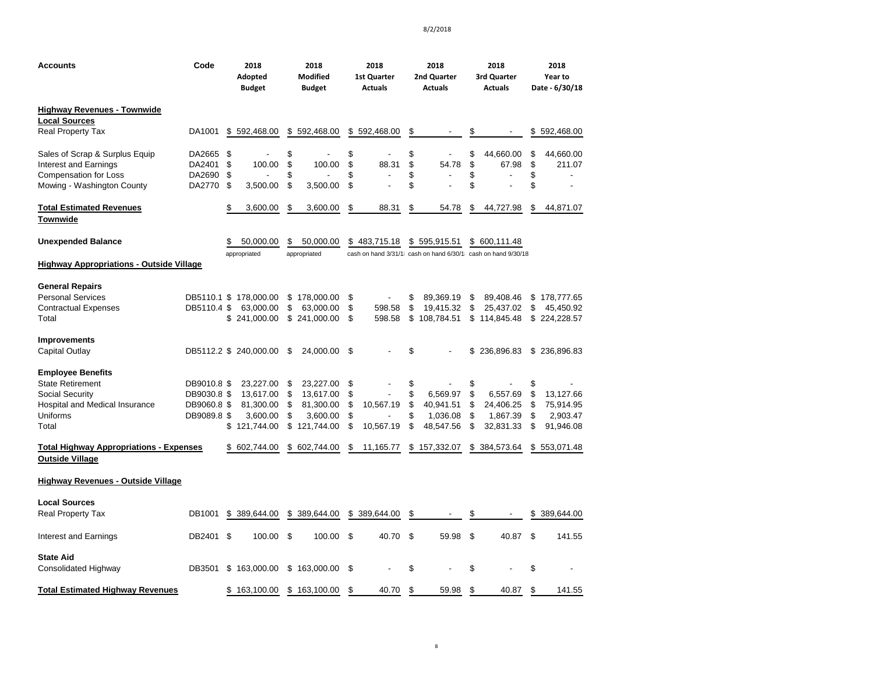| <b>Accounts</b>                                                          | Code        | 2018<br>Adopted<br>Budget | 2018<br>Modified<br><b>Budget</b> | 2018<br><b>1st Quarter</b><br><b>Actuals</b> | 2018<br>2nd Quarter<br><b>Actuals</b> | 2018<br>3rd Quarter<br>Actuals                                 | 2018<br>Year to<br>Date - 6/30/18 |
|--------------------------------------------------------------------------|-------------|---------------------------|-----------------------------------|----------------------------------------------|---------------------------------------|----------------------------------------------------------------|-----------------------------------|
| <b>Highway Revenues - Townwide</b>                                       |             |                           |                                   |                                              |                                       |                                                                |                                   |
| <b>Local Sources</b>                                                     |             |                           |                                   |                                              |                                       |                                                                |                                   |
| <b>Real Property Tax</b>                                                 | DA1001      | \$<br>592,468.00          | \$<br>592,468.00                  | \$<br>592,468.00                             | \$                                    | \$                                                             | \$<br>592,468.00                  |
| Sales of Scrap & Surplus Equip                                           | DA2665 \$   |                           | \$                                | \$                                           | \$                                    | \$<br>44,660.00                                                | \$<br>44,660.00                   |
| Interest and Earnings                                                    | DA2401      | \$<br>100.00              | \$<br>100.00                      | \$<br>88.31                                  | \$<br>54.78                           | \$<br>67.98                                                    | \$<br>211.07                      |
| <b>Compensation for Loss</b>                                             | DA2690      | \$                        | \$                                | \$                                           | \$                                    | \$<br>$\overline{a}$                                           | \$                                |
| Mowing - Washington County                                               | DA2770      | \$<br>3,500.00            | \$<br>3,500.00                    | \$                                           | \$                                    | \$                                                             | \$                                |
| <b>Total Estimated Revenues</b><br><b>Townwide</b>                       |             | \$<br>3,600.00            | \$<br>3,600.00                    | \$<br>88.31                                  | \$<br>54.78                           | \$<br>44,727.98                                                | \$<br>44,871.07                   |
| <b>Unexpended Balance</b>                                                |             | \$<br>50,000.00           | \$<br>50,000.00                   | \$483,715.18                                 | \$595,915.51                          | \$ 600,111.48                                                  |                                   |
|                                                                          |             | appropriated              | appropriated                      |                                              |                                       | cash on hand 3/31/1; cash on hand 6/30/1; cash on hand 9/30/18 |                                   |
| <b>Highway Appropriations - Outside Village</b>                          |             |                           |                                   |                                              |                                       |                                                                |                                   |
| <b>General Repairs</b>                                                   |             |                           |                                   |                                              |                                       |                                                                |                                   |
| <b>Personal Services</b>                                                 | DB5110.1 \$ | 178,000.00                | \$178,000.00                      | \$                                           | \$<br>89,369.19                       | \$<br>89,408.46                                                | \$<br>178,777.65                  |
| <b>Contractual Expenses</b>                                              | DB5110.4 \$ | 63,000.00                 | \$<br>63,000.00                   | \$<br>598.58                                 | \$<br>19,415.32                       | \$<br>25,437.02                                                | \$<br>45,450.92                   |
| Total                                                                    |             | \$<br>241,000.00          | \$241,000.00                      | \$<br>598.58                                 | \$<br>108,784.51                      | \$114,845.48                                                   | \$224,228.57                      |
| <b>Improvements</b>                                                      |             |                           |                                   |                                              |                                       |                                                                |                                   |
| <b>Capital Outlay</b>                                                    |             | DB5112.2 \$ 240,000.00    | \$<br>24,000.00                   | \$                                           | \$                                    | \$236,896.83                                                   | \$236,896.83                      |
| <b>Employee Benefits</b>                                                 |             |                           |                                   |                                              |                                       |                                                                |                                   |
| <b>State Retirement</b>                                                  | DB9010.8 \$ | 23,227.00                 | \$<br>23,227.00                   | \$                                           | \$                                    | \$                                                             | \$                                |
| Social Security                                                          | DB9030.8 \$ | 13,617.00                 | \$<br>13,617.00                   | \$                                           | \$<br>6,569.97                        | \$<br>6,557.69                                                 | \$<br>13,127.66                   |
| Hospital and Medical Insurance                                           | DB9060.8 \$ | 81,300.00                 | \$<br>81,300.00                   | \$<br>10,567.19                              | \$<br>40,941.51                       | \$<br>24,406.25                                                | \$<br>75,914.95                   |
| Uniforms                                                                 | DB9089.8 \$ | 3,600.00                  | \$<br>3,600.00                    | \$                                           | \$<br>1,036.08                        | \$<br>1,867.39                                                 | \$<br>2,903.47                    |
| Total                                                                    |             | \$<br>121,744.00          | \$<br>121,744.00                  | \$<br>10,567.19                              | \$<br>48,547.56                       | \$<br>32,831.33                                                | \$<br>91,946.08                   |
| <b>Total Highway Appropriations - Expenses</b><br><b>Outside Village</b> |             | \$ 602,744.00             | \$ 602,744.00                     | \$<br>11,165.77                              | \$157,332.07                          | \$384,573.64                                                   | \$553,071.48                      |
| Highway Revenues - Outside Village                                       |             |                           |                                   |                                              |                                       |                                                                |                                   |
| <b>Local Sources</b>                                                     |             |                           |                                   |                                              |                                       |                                                                |                                   |
| <b>Real Property Tax</b>                                                 | DB1001      | \$ 389,644.00             | \$ 389,644.00                     | \$ 389,644.00                                | \$                                    | \$                                                             | \$ 389,644.00                     |
| Interest and Earnings                                                    | DB2401 \$   | 100.00                    | \$<br>100.00                      | \$<br>40.70                                  | \$<br>59.98                           | \$<br>40.87                                                    | \$<br>141.55                      |
| <b>State Aid</b>                                                         |             |                           |                                   |                                              |                                       |                                                                |                                   |
| Consolidated Highway                                                     | DB3501      | \$<br>163,000.00          | \$<br>163,000.00                  | \$                                           | \$                                    | \$                                                             | \$                                |
| <b>Total Estimated Highway Revenues</b>                                  |             | \$163,100.00              | \$<br>163,100.00                  | \$<br>40.70                                  | \$<br>59.98                           | \$<br>40.87                                                    | \$<br>141.55                      |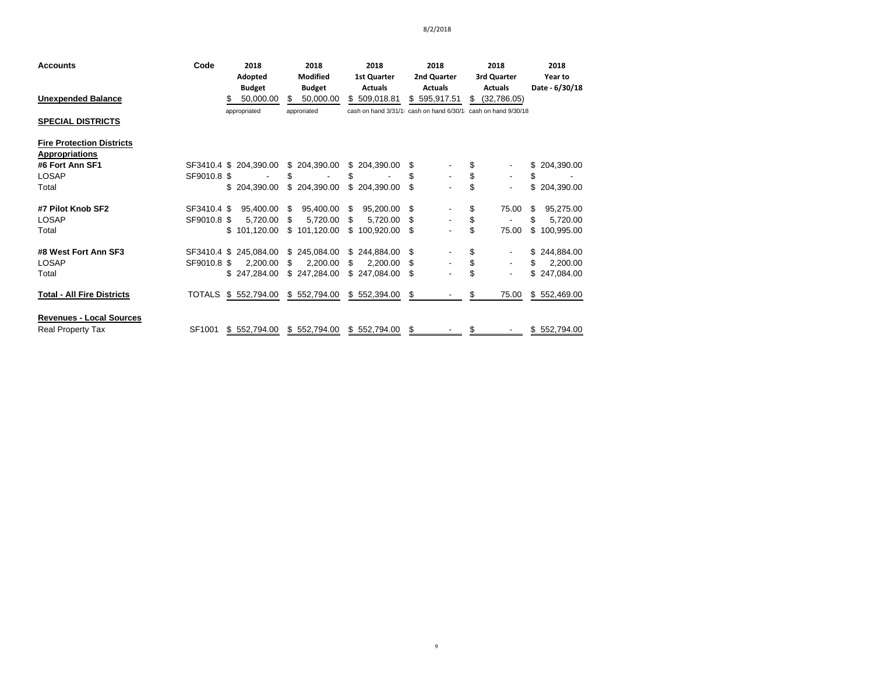| <b>Accounts</b>                   | Code        | 2018                   | 2018             | 2018               | 2018           | 2018                                                           | 2018             |
|-----------------------------------|-------------|------------------------|------------------|--------------------|----------------|----------------------------------------------------------------|------------------|
|                                   |             | Adopted                | <b>Modified</b>  | <b>1st Quarter</b> | 2nd Quarter    | 3rd Quarter                                                    | Year to          |
|                                   |             | <b>Budget</b>          | <b>Budget</b>    | <b>Actuals</b>     | <b>Actuals</b> | <b>Actuals</b>                                                 | Date - 6/30/18   |
| <b>Unexpended Balance</b>         |             | 50,000.00<br>S         | \$.<br>50.000.00 | \$509,018.81       | \$595,917.51   | \$<br>(32,786.05)                                              |                  |
|                                   |             | appropriated           | approriated      |                    |                | cash on hand 3/31/1; cash on hand 6/30/1; cash on hand 9/30/18 |                  |
| <b>SPECIAL DISTRICTS</b>          |             |                        |                  |                    |                |                                                                |                  |
| <b>Fire Protection Districts</b>  |             |                        |                  |                    |                |                                                                |                  |
| <b>Appropriations</b>             |             |                        |                  |                    |                |                                                                |                  |
| #6 Fort Ann SF1                   |             | SF3410.4 \$ 204,390.00 | \$ 204,390.00    | \$204,390.00       | S              | \$                                                             | \$<br>204,390.00 |
| LOSAP                             | SF9010.8 \$ |                        | \$               | \$                 | \$             | \$<br>٠                                                        | \$               |
| Total                             |             | \$204,390.00           | \$204,390.00     | \$204,390.00       | \$             | \$<br>۰                                                        | \$<br>204,390.00 |
| #7 Pilot Knob SF2                 | SF3410.4 \$ | 95,400.00              | 95,400.00<br>S   | \$<br>95,200.00    | - \$           | \$<br>75.00                                                    | 95,275.00<br>S   |
| LOSAP                             | SF9010.8 \$ | 5,720.00               | \$<br>5,720.00   | \$<br>5,720.00     | - \$           | \$                                                             | \$<br>5,720.00   |
| Total                             |             | \$101,120.00           | \$101,120.00     | \$100,920.00       | - \$           | \$<br>75.00                                                    | \$<br>100,995.00 |
| #8 West Fort Ann SF3              |             | SF3410.4 \$ 245,084.00 | \$245,084.00     | \$244,884.00       | -S             | \$<br>۰.                                                       | \$244,884.00     |
| <b>LOSAP</b>                      | SF9010.8 \$ | 2,200.00               | 2,200.00<br>\$   | \$<br>2,200.00     | S              | \$<br>۰                                                        | \$<br>2,200.00   |
| Total                             |             | \$247,284.00           | \$247,284.00     | \$247,084.00       | \$             | \$<br>$\overline{\phantom{a}}$                                 | \$<br>247,084.00 |
| <b>Total - All Fire Districts</b> |             | TOTALS \$ 552,794.00   | \$552,794.00     | \$552,394.00       | S.             | 75.00<br>S                                                     | \$552,469.00     |
| <b>Revenues - Local Sources</b>   |             |                        |                  |                    |                |                                                                |                  |
| <b>Real Property Tax</b>          | SF1001      | \$552,794.00           | \$552,794.00     | \$552,794.00       | S              | \$                                                             | \$552,794.00     |